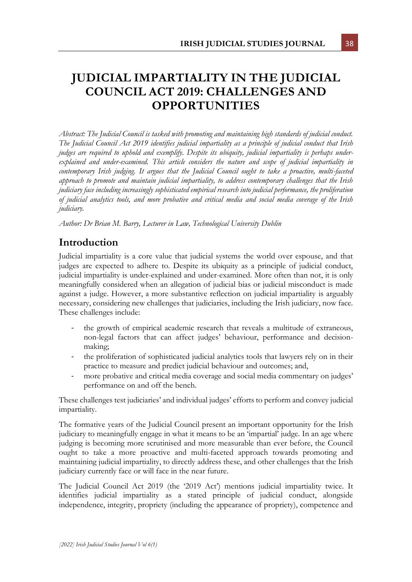# **JUDICIAL IMPARTIALITY IN THE JUDICIAL COUNCIL ACT 2019: CHALLENGES AND OPPORTUNITIES**

*Abstract: The Judicial Council is tasked with promoting and maintaining high standards of judicial conduct. The Judicial Council Act 2019 identifies judicial impartiality as a principle of judicial conduct that Irish judges are required to uphold and exemplify. Despite its ubiquity, judicial impartiality is perhaps underexplained and under-examined. This article considers the nature and scope of judicial impartiality in contemporary Irish judging. It argues that the Judicial Council ought to take a proactive, multi-faceted approach to promote and maintain judicial impartiality, to address contemporary challenges that the Irish judiciary face including increasingly sophisticated empirical research into judicial performance, the proliferation of judicial analytics tools, and more probative and critical media and social media coverage of the Irish judiciary.* 

*Author: Dr Brian M. Barry, Lecturer in Law, Technological University Dublin*

## **Introduction**

Judicial impartiality is a core value that judicial systems the world over espouse, and that judges are expected to adhere to. Despite its ubiquity as a principle of judicial conduct, judicial impartiality is under-explained and under-examined. More often than not, it is only meaningfully considered when an allegation of judicial bias or judicial misconduct is made against a judge. However, a more substantive reflection on judicial impartiality is arguably necessary, considering new challenges that judiciaries, including the Irish judiciary, now face. These challenges include:

- the growth of empirical academic research that reveals a multitude of extraneous, non-legal factors that can affect judges' behaviour, performance and decisionmaking;
- the proliferation of sophisticated judicial analytics tools that lawyers rely on in their practice to measure and predict judicial behaviour and outcomes; and,
- more probative and critical media coverage and social media commentary on judges' performance on and off the bench.

These challenges test judiciaries' and individual judges' efforts to perform and convey judicial impartiality.

The formative years of the Judicial Council present an important opportunity for the Irish judiciary to meaningfully engage in what it means to be an 'impartial' judge. In an age where judging is becoming more scrutinised and more measurable than ever before, the Council ought to take a more proactive and multi-faceted approach towards promoting and maintaining judicial impartiality, to directly address these, and other challenges that the Irish judiciary currently face or will face in the near future.

The Judicial Council Act 2019 (the '2019 Act') mentions judicial impartiality twice. It identifies judicial impartiality as a stated principle of judicial conduct, alongside independence, integrity, propriety (including the appearance of propriety), competence and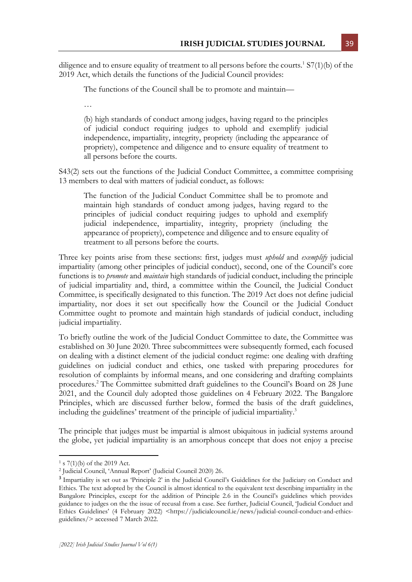diligence and to ensure equality of treatment to all persons before the courts.<sup>1</sup> S7(1)(b) of the 2019 Act, which details the functions of the Judicial Council provides:

The functions of the Council shall be to promote and maintain—

…

(b) high standards of conduct among judges, having regard to the principles of judicial conduct requiring judges to uphold and exemplify judicial independence, impartiality, integrity, propriety (including the appearance of propriety), competence and diligence and to ensure equality of treatment to all persons before the courts.

S43(2) sets out the functions of the Judicial Conduct Committee, a committee comprising 13 members to deal with matters of judicial conduct, as follows:

The function of the Judicial Conduct Committee shall be to promote and maintain high standards of conduct among judges, having regard to the principles of judicial conduct requiring judges to uphold and exemplify judicial independence, impartiality, integrity, propriety (including the appearance of propriety), competence and diligence and to ensure equality of treatment to all persons before the courts.

Three key points arise from these sections: first, judges must *uphold* and *exemplify* judicial impartiality (among other principles of judicial conduct), second, one of the Council's core functions is to *promote* and *maintain* high standards of judicial conduct, including the principle of judicial impartiality and, third, a committee within the Council, the Judicial Conduct Committee, is specifically designated to this function. The 2019 Act does not define judicial impartiality, nor does it set out specifically how the Council or the Judicial Conduct Committee ought to promote and maintain high standards of judicial conduct, including judicial impartiality.

To briefly outline the work of the Judicial Conduct Committee to date, the Committee was established on 30 June 2020. Three subcommittees were subsequently formed, each focused on dealing with a distinct element of the judicial conduct regime: one dealing with drafting guidelines on judicial conduct and ethics, one tasked with preparing procedures for resolution of complaints by informal means, and one considering and drafting complaints procedures.<sup>2</sup> The Committee submitted draft guidelines to the Council's Board on 28 June 2021, and the Council duly adopted those guidelines on 4 February 2022. The Bangalore Principles, which are discussed further below, formed the basis of the draft guidelines, including the guidelines' treatment of the principle of judicial impartiality.<sup>3</sup>

The principle that judges must be impartial is almost ubiquitous in judicial systems around the globe, yet judicial impartiality is an amorphous concept that does not enjoy a precise

 $1 s 7(1)(b)$  of the 2019 Act.

<sup>2</sup> Judicial Council, 'Annual Report' (Judicial Council 2020) 26.

<sup>&</sup>lt;sup>3</sup> Impartiality is set out as 'Principle 2' in the Judicial Council's Guidelines for the Judiciary on Conduct and Ethics. The text adopted by the Council is almost identical to the equivalent text describing impartiality in the Bangalore Principles, except for the addition of Principle 2.6 in the Council's guidelines which provides guidance to judges on the the issue of recusal from a case. See further, Judicial Council, 'Judicial Conduct and Ethics Guidelines' (4 February 2022) <https://judicialcouncil.ie/news/judicial-council-conduct-and-ethicsguidelines/> accessed 7 March 2022.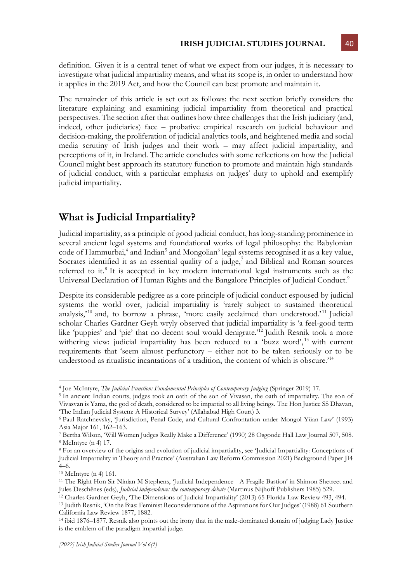definition. Given it is a central tenet of what we expect from our judges, it is necessary to investigate what judicial impartiality means, and what its scope is, in order to understand how it applies in the 2019 Act, and how the Council can best promote and maintain it.

The remainder of this article is set out as follows: the next section briefly considers the literature explaining and examining judicial impartiality from theoretical and practical perspectives. The section after that outlines how three challenges that the Irish judiciary (and, indeed, other judiciaries) face – probative empirical research on judicial behaviour and decision-making, the proliferation of judicial analytics tools, and heightened media and social media scrutiny of Irish judges and their work – may affect judicial impartiality, and perceptions of it, in Ireland. The article concludes with some reflections on how the Judicial Council might best approach its statutory function to promote and maintain high standards of judicial conduct, with a particular emphasis on judges' duty to uphold and exemplify judicial impartiality.

### **What is Judicial Impartiality?**

Judicial impartiality, as a principle of good judicial conduct, has long-standing prominence in several ancient legal systems and foundational works of legal philosophy: the Babylonian code of Hammurbai,<sup>4</sup> and Indian<sup>5</sup> and Mongolian<sup>6</sup> legal systems recognised it as a key value, Socrates identified it as an essential quality of a judge,<sup>7</sup> and Biblical and Roman sources referred to it.<sup>8</sup> It is accepted in key modern international legal instruments such as the Universal Declaration of Human Rights and the Bangalore Principles of Judicial Conduct.<sup>9</sup>

Despite its considerable pedigree as a core principle of judicial conduct espoused by judicial systems the world over, judicial impartiality is 'rarely subject to sustained theoretical analysis,<sup>'10</sup> and, to borrow a phrase, 'more easily acclaimed than understood.'<sup>11</sup> Judicial scholar Charles Gardner Geyh wryly observed that judicial impartiality is 'a feel-good term like 'puppies' and 'pie' that no decent soul would denigrate.'<sup>12</sup> Judith Resnik took a more withering view: judicial impartiality has been reduced to a 'buzz word',<sup>13</sup> with current requirements that 'seem almost perfunctory – either not to be taken seriously or to be understood as ritualistic incantations of a tradition, the content of which is obscure.'<sup>14</sup>

<sup>4</sup> Joe McIntyre, *The Judicial Function: Fundamental Principles of Contemporary Judging* (Springer 2019) 17.

<sup>&</sup>lt;sup>5</sup> In ancient Indian courts, judges took an oath of the son of Vivasan, the oath of impartiality. The son of Vivasvan is Yama, the god of death, considered to be impartial to all living beings. The Hon Justice SS Dhavan, 'The Indian Judicial System: A Historical Survey' (Allahabad High Court) 3.

<sup>6</sup> Paul Ratchnevsky, 'Jurisdiction, Penal Code, and Cultural Confrontation under Mongol-Yüan Law' (1993) Asia Major 161, 162–163.

<sup>7</sup> Bertha Wilson, 'Will Women Judges Really Make a Difference' (1990) 28 Osgoode Hall Law Journal 507, 508. <sup>8</sup> McIntyre (n 4) 17.

<sup>9</sup> For an overview of the origins and evolution of judicial impartiality, see 'Judicial Impartiality: Conceptions of Judicial Impartiality in Theory and Practice' (Australian Law Reform Commission 2021) Background Paper JI4 4–6.

<sup>10</sup> McIntyre (n 4) 161.

<sup>11</sup> The Right Hon Sir Ninian M Stephens, 'Judicial Independence - A Fragile Bastion' in Shimon Shetreet and Jules Deschênes (eds), *Judicial independence: the contemporary debate* (Martinus Nijhoff Publishers 1985) 529.

<sup>12</sup> Charles Gardner Geyh, 'The Dimensions of Judicial Impartiality' (2013) 65 Florida Law Review 493, 494.

<sup>13</sup> Judith Resnik, 'On the Bias: Feminist Reconsiderations of the Aspirations for Our Judges' (1988) 61 Southern California Law Review 1877, 1882.

<sup>14</sup> ibid 1876–1877. Resnik also points out the irony that in the male-dominated domain of judging Lady Justice is the emblem of the paradigm impartial judge.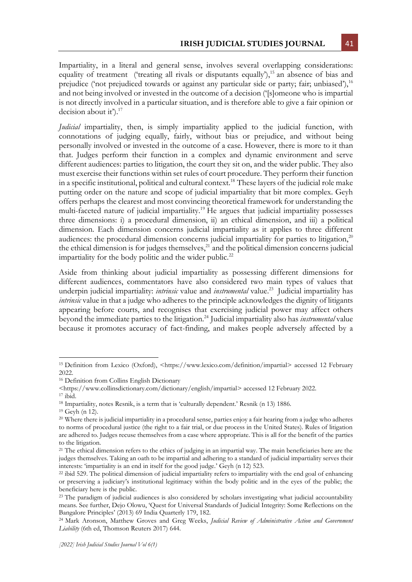Impartiality, in a literal and general sense, involves several overlapping considerations: equality of treatment ('treating all rivals or disputants equally'),<sup>15</sup> an absence of bias and prejudice ('not prejudiced towards or against any particular side or party; fair; unbiased'),  $^{16}$ and not being involved or invested in the outcome of a decision ('[s]omeone who is impartial is not directly involved in a particular situation, and is therefore able to give a fair opinion or decision about it').<sup>17</sup>

*Judicial* impartiality, then, is simply impartiality applied to the judicial function, with connotations of judging equally, fairly, without bias or prejudice, and without being personally involved or invested in the outcome of a case. However, there is more to it than that. Judges perform their function in a complex and dynamic environment and serve different audiences: parties to litigation, the court they sit on, and the wider public. They also must exercise their functions within set rules of court procedure. They perform their function in a specific institutional, political and cultural context.<sup>18</sup> These layers of the judicial role make putting order on the nature and scope of judicial impartiality that bit more complex. Geyh offers perhaps the clearest and most convincing theoretical framework for understanding the multi-faceted nature of judicial impartiality.<sup>19</sup> He argues that judicial impartiality possesses three dimensions: i) a procedural dimension, ii) an ethical dimension, and iii) a political dimension. Each dimension concerns judicial impartiality as it applies to three different audiences: the procedural dimension concerns judicial impartiality for parties to litigation,<sup>20</sup> the ethical dimension is for judges themselves,<sup>21</sup> and the political dimension concerns judicial impartiality for the body politic and the wider public.<sup>22</sup>

Aside from thinking about judicial impartiality as possessing different dimensions for different audiences, commentators have also considered two main types of values that underpin judicial impartiality: *intrinsic* value and *instrumental* value.<sup>23</sup> Judicial impartiality has *intrinsic* value in that a judge who adheres to the principle acknowledges the dignity of litigants appearing before courts, and recognises that exercising judicial power may affect others beyond the immediate parties to the litigation.<sup>24</sup> Judicial impartiality also has *instrumental* value because it promotes accuracy of fact-finding, and makes people adversely affected by a

<sup>&</sup>lt;sup>15</sup> Definition from Lexico (Oxford), <https://www.lexico.com/definition/impartial> accessed 12 February 2022.

<sup>16</sup> Definition from Collins English Dictionary

<sup>&</sup>lt;https://www.collinsdictionary.com/dictionary/english/impartial> accessed 12 February 2022.  $17$  ibid.

<sup>18</sup> Impartiality, notes Resnik, is a term that is 'culturally dependent.' Resnik (n 13) 1886.

 $19$  Geyh (n 12).

<sup>&</sup>lt;sup>20</sup> Where there is judicial impartiality in a procedural sense, parties enjoy a fair hearing from a judge who adheres to norms of procedural justice (the right to a fair trial, or due process in the United States). Rules of litigation are adhered to. Judges recuse themselves from a case where appropriate. This is all for the benefit of the parties to the litigation.

<sup>&</sup>lt;sup>21</sup> The ethical dimension refers to the ethics of judging in an impartial way. The main beneficiaries here are the judges themselves. Taking an oath to be impartial and adhering to a standard of judicial impartiality serves their interests: 'impartiality is an end in itself for the good judge.' Geyh (n 12) 523.

<sup>&</sup>lt;sup>22</sup> ibid 529. The political dimension of judicial impartiality refers to impartiality with the end goal of enhancing or preserving a judiciary's institutional legitimacy within the body politic and in the eyes of the public; the beneficiary here is the public.

<sup>&</sup>lt;sup>23</sup> The paradigm of judicial audiences is also considered by scholars investigating what judicial accountability means. See further, Dejo Olowu, 'Quest for Universal Standards of Judicial Integrity: Some Reflections on the Bangalore Principles' (2013) 69 India Quarterly 179, 182.

<sup>24</sup> Mark Aronson, Matthew Groves and Greg Weeks, *Judicial Review of Administrative Action and Government Liability* (6th ed, Thomson Reuters 2017) 644.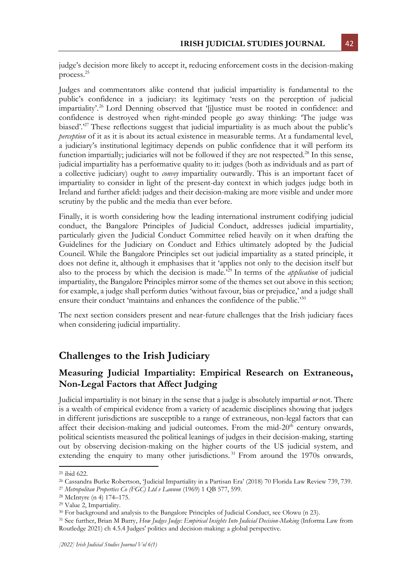judge's decision more likely to accept it, reducing enforcement costs in the decision-making process.<sup>25</sup>

Judges and commentators alike contend that judicial impartiality is fundamental to the public's confidence in a judiciary: its legitimacy 'rests on the perception of judicial impartiality'. <sup>26</sup> Lord Denning observed that '[j]ustice must be rooted in confidence: and confidence is destroyed when right-minded people go away thinking: 'The judge was biased'.<sup>27</sup> These reflections suggest that judicial impartiality is as much about the public's *perception* of it as it is about its actual existence in measurable terms. At a fundamental level, a judiciary's institutional legitimacy depends on public confidence that it will perform its function impartially; judiciaries will not be followed if they are not respected.<sup>28</sup> In this sense, judicial impartiality has a performative quality to it: judges (both as individuals and as part of a collective judiciary) ought to *convey* impartiality outwardly. This is an important facet of impartiality to consider in light of the present-day context in which judges judge both in Ireland and further afield: judges and their decision-making are more visible and under more scrutiny by the public and the media than ever before.

Finally, it is worth considering how the leading international instrument codifying judicial conduct, the Bangalore Principles of Judicial Conduct, addresses judicial impartiality, particularly given the Judicial Conduct Committee relied heavily on it when drafting the Guidelines for the Judiciary on Conduct and Ethics ultimately adopted by the Judicial Council. While the Bangalore Principles set out judicial impartiality as a stated principle, it does not define it, although it emphasises that it 'applies not only to the decision itself but also to the process by which the decision is made.'<sup>29</sup> In terms of the *application* of judicial impartiality, the Bangalore Principles mirror some of the themes set out above in this section; for example, a judge shall perform duties 'without favour, bias or prejudice,' and a judge shall ensure their conduct 'maintains and enhances the confidence of the public.<sup>30</sup>

The next section considers present and near-future challenges that the Irish judiciary faces when considering judicial impartiality.

### **Challenges to the Irish Judiciary**

#### **Measuring Judicial Impartiality: Empirical Research on Extraneous, Non-Legal Factors that Affect Judging**

Judicial impartiality is not binary in the sense that a judge is absolutely impartial *or* not. There is a wealth of empirical evidence from a variety of academic disciplines showing that judges in different jurisdictions are susceptible to a range of extraneous, non-legal factors that can affect their decision-making and judicial outcomes. From the mid- $20<sup>th</sup>$  century onwards, political scientists measured the political leanings of judges in their decision-making, starting out by observing decision-making on the higher courts of the US judicial system, and extending the enquiry to many other jurisdictions.<sup>31</sup> From around the 1970s onwards,

<sup>25</sup> ibid 622.

<sup>26</sup> Cassandra Burke Robertson, 'Judicial Impartiality in a Partisan Era' (2018) 70 Florida Law Review 739, 739.

<sup>27</sup> *Metropolitan Properties Co (FGC) Ltd v Lannon* (1969) 1 QB 577, 599.

<sup>28</sup> McIntyre (n 4) 174–175.

<sup>29</sup> Value 2, Impartiality.

<sup>30</sup> For background and analysis to the Bangalore Principles of Judicial Conduct, see Olowu (n 23).

<sup>31</sup> See further, Brian M Barry, *How Judges Judge: Empirical Insights Into Judicial Decision-Making* (Informa Law from Routledge 2021) ch 4.5.4 Judges' politics and decision-making: a global perspective.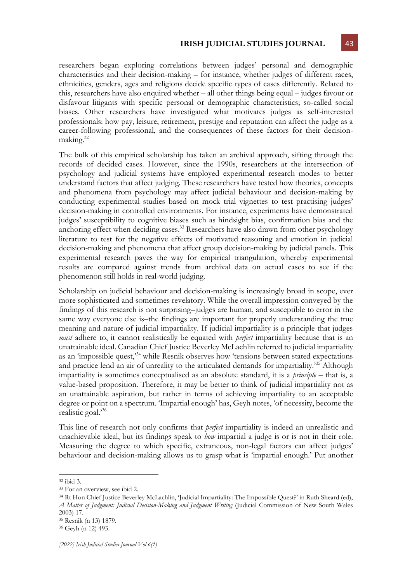researchers began exploring correlations between judges' personal and demographic characteristics and their decision-making – for instance, whether judges of different races, ethnicities, genders, ages and religions decide specific types of cases differently. Related to this, researchers have also enquired whether – all other things being equal – judges favour or disfavour litigants with specific personal or demographic characteristics; so-called social biases. Other researchers have investigated what motivates judges as self-interested professionals: how pay, leisure, retirement, prestige and reputation can affect the judge as a career-following professional, and the consequences of these factors for their decisionmaking.<sup>32</sup>

The bulk of this empirical scholarship has taken an archival approach, sifting through the records of decided cases. However, since the 1990s, researchers at the intersection of psychology and judicial systems have employed experimental research modes to better understand factors that affect judging. These researchers have tested how theories, concepts and phenomena from psychology may affect judicial behaviour and decision-making by conducting experimental studies based on mock trial vignettes to test practising judges' decision-making in controlled environments. For instance, experiments have demonstrated judges' susceptibility to cognitive biases such as hindsight bias, confirmation bias and the anchoring effect when deciding cases.<sup>33</sup> Researchers have also drawn from other psychology literature to test for the negative effects of motivated reasoning and emotion in judicial decision-making and phenomena that affect group decision-making by judicial panels. This experimental research paves the way for empirical triangulation, whereby experimental results are compared against trends from archival data on actual cases to see if the phenomenon still holds in real-world judging.

Scholarship on judicial behaviour and decision-making is increasingly broad in scope, ever more sophisticated and sometimes revelatory. While the overall impression conveyed by the findings of this research is not surprising–judges are human, and susceptible to error in the same way everyone else is–the findings are important for properly understanding the true meaning and nature of judicial impartiality. If judicial impartiality is a principle that judges *must* adhere to, it cannot realistically be equated with *perfect* impartiality because that is an unattainable ideal. Canadian Chief Justice Beverley McLachlin referred to judicial impartiality as an 'impossible quest,'<sup>34</sup> while Resnik observes how 'tensions between stated expectations and practice lend an air of unreality to the articulated demands for impartiality.<sup>35</sup> Although impartiality is sometimes conceptualised as an absolute standard, it is a *principle* – that is, a value-based proposition. Therefore, it may be better to think of judicial impartiality not as an unattainable aspiration, but rather in terms of achieving impartiality to an acceptable degree or point on a spectrum. 'Impartial enough' has, Geyh notes, 'of necessity, become the realistic goal.'<sup>36</sup>

This line of research not only confirms that *perfect* impartiality is indeed an unrealistic and unachievable ideal, but its findings speak to *how* impartial a judge is or is not in their role. Measuring the degree to which specific, extraneous, non-legal factors can affect judges' behaviour and decision-making allows us to grasp what is 'impartial enough.' Put another

<sup>32</sup> ibid 3.

<sup>33</sup> For an overview, see ibid 2.

<sup>&</sup>lt;sup>34</sup> Rt Hon Chief Justice Beverley McLachlin, 'Judicial Impartiality: The Impossible Quest?' in Ruth Sheard (ed), *A Matter of Judgment: Judicial Decision-Making and Judgment Writing* (Judicial Commission of New South Wales 2003) 17.

<sup>35</sup> Resnik (n 13) 1879.

<sup>36</sup> Geyh (n 12) 493.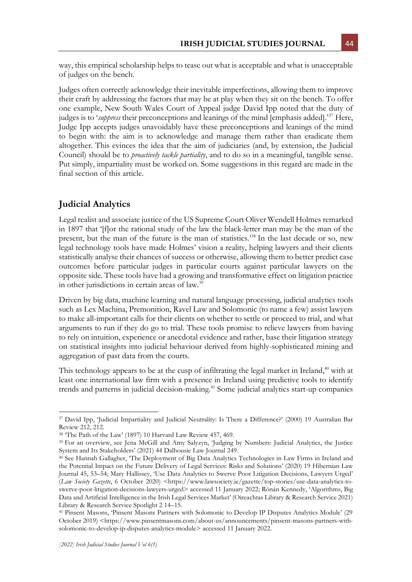way, this empirical scholarship helps to tease out what is acceptable and what is unacceptable of judges on the bench.

Judges often correctly acknowledge their inevitable imperfections, allowing them to improve their craft by addressing the factors that may be at play when they sit on the bench. To offer one example, New South Wales Court of Appeal judge David Ipp noted that the duty of judges is to '*suppress* their preconceptions and leanings of the mind [emphasis added].'<sup>37</sup> Here, Judge Ipp accepts judges unavoidably have these preconceptions and leanings of the mind to begin with: the aim is to acknowledge and manage them rather than eradicate them altogether. This evinces the idea that the aim of judiciaries (and, by extension, the Judicial Council) should be to *proactively tackle partiality*, and to do so in a meaningful, tangible sense. Put simply, impartiality must be worked on. Some suggestions in this regard are made in the final section of this article.

#### **Judicial Analytics**

Legal realist and associate justice of the US Supreme Court Oliver Wendell Holmes remarked in 1897 that '[f]or the rational study of the law the black-letter man may be the man of the present, but the man of the future is the man of statistics.'<sup>38</sup> In the last decade or so, new legal technology tools have made Holmes' vision a reality, helping lawyers and their clients statistically analyse their chances of success or otherwise, allowing them to better predict case outcomes before particular judges in particular courts against particular lawyers on the opposite side. These tools have had a growing and transformative effect on litigation practice in other jurisdictions in certain areas of law.<sup>39</sup>

Driven by big data, machine learning and natural language processing, judicial analytics tools such as Lex Machina, Premonition, Ravel Law and Solomonic (to name a few) assist lawyers to make all-important calls for their clients on whether to settle or proceed to trial, and what arguments to run if they do go to trial. These tools promise to relieve lawyers from having to rely on intuition, experience or anecdotal evidence and rather, base their litigation strategy on statistical insights into judicial behaviour derived from highly-sophisticated mining and aggregation of past data from the courts.

This technology appears to be at the cusp of infiltrating the legal market in Ireland,<sup>40</sup> with at least one international law firm with a presence in Ireland using predictive tools to identify trends and patterns in judicial decision-making.<sup>41</sup> Some judicial analytics start-up companies

<sup>37</sup> David Ipp, 'Judicial Impartiality and Judicial Neutrality: Is There a Difference?' (2000) 19 Australian Bar Review 212, 212.

<sup>38</sup> 'The Path of the Law' (1897) 10 Harvard Law Review 457, 469.

<sup>39</sup> For an overview, see Jena McGill and Amy Salyzyn, 'Judging by Numbers: Judicial Analytics, the Justice System and Its Stakeholders' (2021) 44 Dalhousie Law Journal 249.

<sup>&</sup>lt;sup>40</sup> See Hannah Gallagher, 'The Deployment of Big Data Analytics Technologies in Law Firms in Ireland and the Potential Impact on the Future Delivery of Legal Services: Risks and Solutions' (2020) 19 Hibernian Law Journal 45, 53–54; Mary Hallissey, 'Use Data Analytics to Swerve Poor Litigation Decisions, Lawyers Urged' (*Law Society Gazette*, 6 October 2020) <https://www.lawsociety.ie/gazette/top-stories/use-data-analytics-toswerve-poor-litigation-decisions-lawyers-urged> accessed 11 January 2022; Rónán Kennedy, 'Algorithms, Big Data and Artificial Intelligence in the Irish Legal Services Market' (Oireachtas Library & Research Service 2021) Library & Research Service Spotlight 2 14–15.

<sup>41</sup> Pinsent Masons, 'Pinsent Masons Partners with Solomonic to Develop IP Disputes Analytics Module' (29 October 2019) <https://www.pinsentmasons.com/about-us/announcements/pinsent-masons-partners-withsolomonic-to-develop-ip-disputes-analytics-module> accessed 11 January 2022.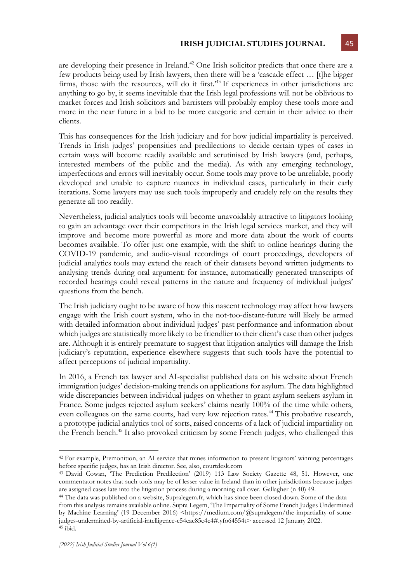are developing their presence in Ireland.<sup>42</sup> One Irish solicitor predicts that once there are a few products being used by Irish lawyers, then there will be a 'cascade effect … [t]he bigger firms, those with the resources, will do it first.<sup>43</sup> If experiences in other jurisdictions are anything to go by, it seems inevitable that the Irish legal professions will not be oblivious to market forces and Irish solicitors and barristers will probably employ these tools more and more in the near future in a bid to be more categoric and certain in their advice to their clients.

This has consequences for the Irish judiciary and for how judicial impartiality is perceived. Trends in Irish judges' propensities and predilections to decide certain types of cases in certain ways will become readily available and scrutinised by Irish lawyers (and, perhaps, interested members of the public and the media). As with any emerging technology, imperfections and errors will inevitably occur. Some tools may prove to be unreliable, poorly developed and unable to capture nuances in individual cases, particularly in their early iterations. Some lawyers may use such tools improperly and crudely rely on the results they generate all too readily.

Nevertheless, judicial analytics tools will become unavoidably attractive to litigators looking to gain an advantage over their competitors in the Irish legal services market, and they will improve and become more powerful as more and more data about the work of courts becomes available. To offer just one example, with the shift to online hearings during the COVID-19 pandemic, and audio-visual recordings of court proceedings, developers of judicial analytics tools may extend the reach of their datasets beyond written judgments to analysing trends during oral argument: for instance, automatically generated transcripts of recorded hearings could reveal patterns in the nature and frequency of individual judges' questions from the bench.

The Irish judiciary ought to be aware of how this nascent technology may affect how lawyers engage with the Irish court system, who in the not-too-distant-future will likely be armed with detailed information about individual judges' past performance and information about which judges are statistically more likely to be friendlier to their client's case than other judges are. Although it is entirely premature to suggest that litigation analytics will damage the Irish judiciary's reputation, experience elsewhere suggests that such tools have the potential to affect perceptions of judicial impartiality.

In 2016, a French tax lawyer and AI-specialist published data on his website about French immigration judges' decision-making trends on applications for asylum. The data highlighted wide discrepancies between individual judges on whether to grant asylum seekers asylum in France. Some judges rejected asylum seekers' claims nearly 100% of the time while others, even colleagues on the same courts, had very low rejection rates.<sup>44</sup> This probative research, a prototype judicial analytics tool of sorts, raised concerns of a lack of judicial impartiality on the French bench.<sup>45</sup> It also provoked criticism by some French judges, who challenged this

<sup>42</sup> For example, Premonition, an AI service that mines information to present litigators' winning percentages before specific judges, has an Irish director. See, also, courtdesk.com

<sup>43</sup> David Cowan, 'The Prediction Predilection' (2019) 113 Law Society Gazette 48, 51. However, one commentator notes that such tools may be of lesser value in Ireland than in other jurisdictions because judges are assigned cases late into the litigation process during a morning call over. Gallagher (n 40) 49.

<sup>44</sup> The data was published on a website, Supralegem.fr, which has since been closed down. Some of the data from this analysis remains available online. Supra Legem, 'The Impartiality of Some French Judges Undermined by Machine Learning' (19 December 2016) <https://medium.com/@supralegem/the-impartiality-of-somejudges-undermined-by-artificial-intelligence-c54cac85c4c4#.yfo64554t> accessed 12 January 2022. <sup>45</sup> ibid.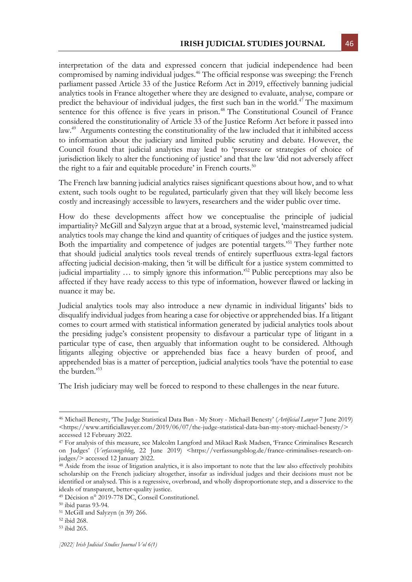interpretation of the data and expressed concern that judicial independence had been compromised by naming individual judges.<sup>46</sup> The official response was sweeping: the French parliament passed Article 33 of the Justice Reform Act in 2019, effectively banning judicial analytics tools in France altogether where they are designed to evaluate, analyse, compare or predict the behaviour of individual judges, the first such ban in the world.<sup>47</sup> The maximum sentence for this offence is five years in prison.<sup>48</sup> The Constitutional Council of France considered the constitutionality of Article 33 of the Justice Reform Act before it passed into law.<sup>49</sup> Arguments contesting the constitutionality of the law included that it inhibited access to information about the judiciary and limited public scrutiny and debate. However, the Council found that judicial analytics may lead to 'pressure or strategies of choice of jurisdiction likely to alter the functioning of justice' and that the law 'did not adversely affect the right to a fair and equitable procedure' in French courts.<sup>50</sup>

The French law banning judicial analytics raises significant questions about how, and to what extent, such tools ought to be regulated, particularly given that they will likely become less costly and increasingly accessible to lawyers, researchers and the wider public over time.

How do these developments affect how we conceptualise the principle of judicial impartiality? McGill and Salyzyn argue that at a broad, systemic level, 'mainstreamed judicial analytics tools may change the kind and quantity of critiques of judges and the justice system. Both the impartiality and competence of judges are potential targets.'<sup>51</sup> They further note that should judicial analytics tools reveal trends of entirely superfluous extra-legal factors affecting judicial decision-making, then 'it will be difficult for a justice system committed to judicial impartiality ... to simply ignore this information.<sup>52</sup> Public perceptions may also be affected if they have ready access to this type of information, however flawed or lacking in nuance it may be.

Judicial analytics tools may also introduce a new dynamic in individual litigants' bids to disqualify individual judges from hearing a case for objective or apprehended bias. If a litigant comes to court armed with statistical information generated by judicial analytics tools about the presiding judge's consistent propensity to disfavour a particular type of litigant in a particular type of case, then arguably that information ought to be considered. Although litigants alleging objective or apprehended bias face a heavy burden of proof, and apprehended bias is a matter of perception, judicial analytics tools 'have the potential to ease the burden.'<sup>53</sup>

The Irish judiciary may well be forced to respond to these challenges in the near future.

<sup>46</sup> Michaël Benesty, 'The Judge Statistical Data Ban - My Story - Michaël Benesty' (*Artificial Lawyer* 7 June 2019) <https://www.artificiallawyer.com/2019/06/07/the-judge-statistical-data-ban-my-story-michael-benesty/> accessed 12 February 2022.

<sup>&</sup>lt;sup>47</sup> For analysis of this measure, see Malcolm Langford and Mikael Rask Madsen, 'France Criminalises Research on Judges' (*Verfassungsblog*, 22 June 2019) <https://verfassungsblog.de/france-criminalises-research-onjudges/> accessed 12 January 2022.

<sup>&</sup>lt;sup>48</sup> Aside from the issue of litigation analytics, it is also important to note that the law also effectively prohibits scholarship on the French judiciary altogether, insofar as individual judges and their decisions must not be identified or analysed. This is a regressive, overbroad, and wholly disproportionate step, and a disservice to the ideals of transparent, better-quality justice.

<sup>49</sup> Décision n° 2019-778 DC, Conseil Constitutionel.

<sup>50</sup> ibid paras 93-94.

<sup>51</sup> McGill and Salyzyn (n 39) 266.

<sup>52</sup> ibid 268.

<sup>53</sup> ibid 265.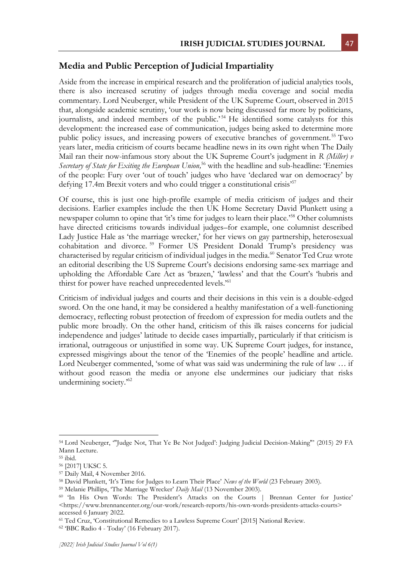#### **Media and Public Perception of Judicial Impartiality**

Aside from the increase in empirical research and the proliferation of judicial analytics tools, there is also increased scrutiny of judges through media coverage and social media commentary. Lord Neuberger, while President of the UK Supreme Court, observed in 2015 that, alongside academic scrutiny, 'our work is now being discussed far more by politicians, journalists, and indeed members of the public.'<sup>54</sup> He identified some catalysts for this development: the increased ease of communication, judges being asked to determine more public policy issues, and increasing powers of executive branches of government.<sup>55</sup> Two years later, media criticism of courts became headline news in its own right when The Daily Mail ran their now-infamous story about the UK Supreme Court's judgment in *R (Miller) v Secretary of State for Exiting the European Union,* <sup>56</sup> with the headline and sub-headline: 'Enemies of the people: Fury over 'out of touch' judges who have 'declared war on democracy' by defying 17.4m Brexit voters and who could trigger a constitutional crisis<sup>57</sup>

Of course, this is just one high-profile example of media criticism of judges and their decisions. Earlier examples include the then UK Home Secretary David Plunkett using a newspaper column to opine that 'it's time for judges to learn their place.<sup>558</sup> Other columnists have directed criticisms towards individual judges–for example, one columnist described Lady Justice Hale as 'the marriage wrecker,' for her views on gay partnership, heterosexual cohabitation and divorce. <sup>59</sup> Former US President Donald Trump's presidency was characterised by regular criticism of individual judges in the media.<sup>60</sup> Senator Ted Cruz wrote an editorial describing the US Supreme Court's decisions endorsing same-sex marriage and upholding the Affordable Care Act as 'brazen,' 'lawless' and that the Court's 'hubris and thirst for power have reached unprecedented levels.<sup>'61</sup>

Criticism of individual judges and courts and their decisions in this vein is a double-edged sword. On the one hand, it may be considered a healthy manifestation of a well-functioning democracy, reflecting robust protection of freedom of expression for media outlets and the public more broadly. On the other hand, criticism of this ilk raises concerns for judicial independence and judges' latitude to decide cases impartially, particularly if that criticism is irrational, outrageous or unjustified in some way. UK Supreme Court judges, for instance, expressed misgivings about the tenor of the 'Enemies of the people' headline and article. Lord Neuberger commented, 'some of what was said was undermining the rule of law ... if without good reason the media or anyone else undermines our judiciary that risks undermining society.'<sup>62</sup>

<sup>54</sup> Lord Neuberger, '"Judge Not, That Ye Be Not Judged': Judging Judicial Decision-Making"' (2015) 29 FA Mann Lecture.

<sup>55</sup> ibid.

<sup>56</sup> [2017] UKSC 5.

<sup>57</sup> Daily Mail, 4 November 2016.

<sup>58</sup> David Plunkett, 'It's Time for Judges to Learn Their Place' *News of the World* (23 February 2003).

<sup>59</sup> Melanie Phillips, 'The Marriage Wrecker' *Daily Mail* (13 November 2003).

<sup>60</sup> 'In His Own Words: The President's Attacks on the Courts | Brennan Center for Justice' <https://www.brennancenter.org/our-work/research-reports/his-own-words-presidents-attacks-courts> accessed 6 January 2022.

<sup>61</sup> Ted Cruz, 'Constitutional Remedies to a Lawless Supreme Court' [2015] National Review.

<sup>62</sup> 'BBC Radio 4 - Today' (16 February 2017).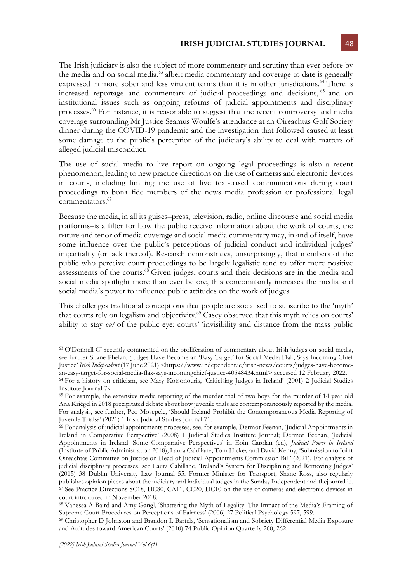The Irish judiciary is also the subject of more commentary and scrutiny than ever before by the media and on social media,<sup>63</sup> albeit media commentary and coverage to date is generally expressed in more sober and less virulent terms than it is in other jurisdictions.<sup>64</sup> There is increased reportage and commentary of judicial proceedings and decisions, <sup>65</sup> and on institutional issues such as ongoing reforms of judicial appointments and disciplinary processes.<sup>66</sup> For instance, it is reasonable to suggest that the recent controversy and media coverage surrounding Mr Justice Seamus Woulfe's attendance at an Oireachtas Golf Society dinner during the COVID-19 pandemic and the investigation that followed caused at least some damage to the public's perception of the judiciary's ability to deal with matters of alleged judicial misconduct.

The use of social media to live report on ongoing legal proceedings is also a recent phenomenon, leading to new practice directions on the use of cameras and electronic devices in courts, including limiting the use of live text-based communications during court proceedings to bona fide members of the news media profession or professional legal commentators.<sup>67</sup>

Because the media, in all its guises–press, television, radio, online discourse and social media platforms–is a filter for how the public receive information about the work of courts, the nature and tenor of media coverage and social media commentary may, in and of itself, have some influence over the public's perceptions of judicial conduct and individual judges' impartiality (or lack thereof). Research demonstrates, unsurprisingly, that members of the public who perceive court proceedings to be largely legalistic tend to offer more positive assessments of the courts. $68$  Given judges, courts and their decisions are in the media and social media spotlight more than ever before, this concomitantly increases the media and social media's power to influence public attitudes on the work of judges.

This challenges traditional conceptions that people are socialised to subscribe to the 'myth' that courts rely on legalism and objectivity.<sup>69</sup> Casey observed that this myth relies on courts' ability to stay *out* of the public eye: courts' 'invisibility and distance from the mass public

<sup>63</sup> O'Donnell CJ recently commented on the proliferation of commentary about Irish judges on social media, see further Shane Phelan, 'Judges Have Become an 'Easy Target' for Social Media Flak, Says Incoming Chief Justice' *Irish Independent* (17 June 2021) <https://www.independent.ie/irish-news/courts/judges-have-becomean-easy-target-for-social-media-flak-says-incomingchief-justice-40548434.html> accessed 12 February 2022.

<sup>64</sup> For a history on criticism, see Mary Kotsonouris, 'Criticising Judges in Ireland' (2001) 2 Judicial Studies Institute Journal 79.

<sup>65</sup> For example, the extensive media reporting of the murder trial of two boys for the murder of 14-year-old Ana Kriégel in 2018 precipitated debate about how juvenile trials are contemporaneously reported by the media. For analysis, see further, Peo Mosepele, 'Should Ireland Prohibit the Contemporaneous Media Reporting of Juvenile Trials?' (2021) 1 Irish Judicial Studies Journal 71.

<sup>&</sup>lt;sup>66</sup> For analysis of judicial appointments processes, see, for example, Dermot Feenan, 'Judicial Appointments in Ireland in Comparative Perspective' (2008) 1 Judicial Studies Institute Journal; Dermot Feenan, 'Judicial Appointments in Ireland: Some Comparative Perspectives' in Eoin Carolan (ed), *Judicial Power in Ireland* (Institute of Public Administration 2018); Laura Cahillane, Tom Hickey and David Kenny, 'Submission to Joint Oireachtas Committee on Justice on Head of Judicial Appointments Commission Bill' (2021). For analysis of judicial disciplinary processes, see Laura Cahillane, 'Ireland's System for Disciplining and Removing Judges' (2015) 38 Dublin University Law Journal 55. Former Minister for Transport, Shane Ross, also regularly publishes opinion pieces about the judiciary and individual judges in the Sunday Independent and thejournal.ie.  $\overline{67}$  See Practice Directions SC18, HC80, CA11, CC20, DC10 on the use of cameras and electronic devices in court introduced in November 2018.

<sup>68</sup> Vanessa A Baird and Amy Gangl, 'Shattering the Myth of Legality: The Impact of the Media's Framing of Supreme Court Procedures on Perceptions of Fairness' (2006) 27 Political Psychology 597, 599.

<sup>69</sup> Christopher D Johnston and Brandon L Bartels, 'Sensationalism and Sobriety Differential Media Exposure and Attitudes toward American Courts' (2010) 74 Public Opinion Quarterly 260, 262.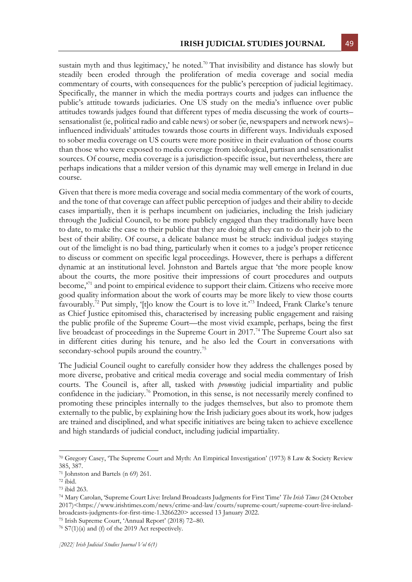sustain myth and thus legitimacy,' he noted.<sup>70</sup> That invisibility and distance has slowly but steadily been eroded through the proliferation of media coverage and social media commentary of courts, with consequences for the public's perception of judicial legitimacy. Specifically, the manner in which the media portrays courts and judges can influence the public's attitude towards judiciaries. One US study on the media's influence over public attitudes towards judges found that different types of media discussing the work of courts– sensationalist (ie, political radio and cable news) or sober (ie, newspapers and network news)– influenced individuals' attitudes towards those courts in different ways. Individuals exposed to sober media coverage on US courts were more positive in their evaluation of those courts than those who were exposed to media coverage from ideological, partisan and sensationalist sources. Of course, media coverage is a jurisdiction-specific issue, but nevertheless, there are perhaps indications that a milder version of this dynamic may well emerge in Ireland in due course.

Given that there is more media coverage and social media commentary of the work of courts, and the tone of that coverage can affect public perception of judges and their ability to decide cases impartially, then it is perhaps incumbent on judiciaries, including the Irish judiciary through the Judicial Council, to be more publicly engaged than they traditionally have been to date, to make the case to their public that they are doing all they can to do their job to the best of their ability. Of course, a delicate balance must be struck: individual judges staying out of the limelight is no bad thing, particularly when it comes to a judge's proper reticence to discuss or comment on specific legal proceedings. However, there is perhaps a different dynamic at an institutional level. Johnston and Bartels argue that 'the more people know about the courts, the more positive their impressions of court procedures and outputs become,<sup>71</sup> and point to empirical evidence to support their claim. Citizens who receive more good quality information about the work of courts may be more likely to view those courts favourably.<sup>72</sup> Put simply, '[t]o know the Court is to love it.<sup>73</sup> Indeed, Frank Clarke's tenure as Chief Justice epitomised this, characterised by increasing public engagement and raising the public profile of the Supreme Court—the most vivid example, perhaps, being the first live broadcast of proceedings in the Supreme Court in 2017.<sup>74</sup> The Supreme Court also sat in different cities during his tenure, and he also led the Court in conversations with secondary-school pupils around the country.<sup>75</sup>

The Judicial Council ought to carefully consider how they address the challenges posed by more diverse, probative and critical media coverage and social media commentary of Irish courts. The Council is, after all, tasked with *promoting* judicial impartiality and public confidence in the judiciary.<sup>76</sup> Promotion, in this sense, is not necessarily merely confined to promoting these principles internally to the judges themselves, but also to promote them externally to the public, by explaining how the Irish judiciary goes about its work, how judges are trained and disciplined, and what specific initiatives are being taken to achieve excellence and high standards of judicial conduct, including judicial impartiality.

<sup>75</sup> Irish Supreme Court, 'Annual Report' (2018) 72–80.

<sup>70</sup> Gregory Casey, 'The Supreme Court and Myth: An Empirical Investigation' (1973) 8 Law & Society Review 385, 387.

<sup>71</sup> Johnston and Bartels (n 69) 261.

 $72$  ibid.

<sup>73</sup> ibid 263.

<sup>74</sup> Mary Carolan, 'Supreme Court Live: Ireland Broadcasts Judgments for First Time' *The Irish Times* (24 October 2017)<https://www.irishtimes.com/news/crime-and-law/courts/supreme-court/supreme-court-live-irelandbroadcasts-judgments-for-first-time-1.3266220> accessed 13 January 2022.

 $76$  S7(1)(a) and (f) of the 2019 Act respectively.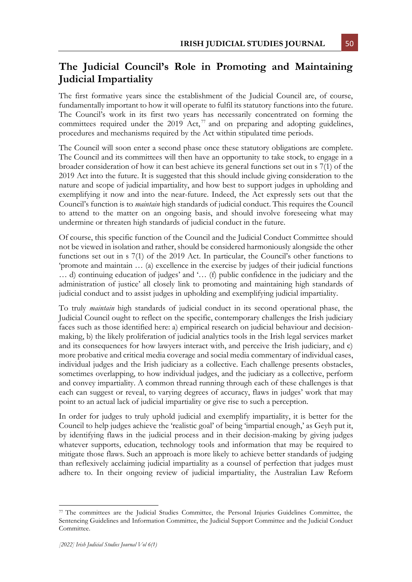# **The Judicial Council's Role in Promoting and Maintaining Judicial Impartiality**

The first formative years since the establishment of the Judicial Council are, of course, fundamentally important to how it will operate to fulfil its statutory functions into the future. The Council's work in its first two years has necessarily concentrated on forming the committees required under the  $2019$  Act,  $77$  and on preparing and adopting guidelines, procedures and mechanisms required by the Act within stipulated time periods.

The Council will soon enter a second phase once these statutory obligations are complete. The Council and its committees will then have an opportunity to take stock, to engage in a broader consideration of how it can best achieve its general functions set out in s 7(1) of the 2019 Act into the future. It is suggested that this should include giving consideration to the nature and scope of judicial impartiality, and how best to support judges in upholding and exemplifying it now and into the near-future. Indeed, the Act expressly sets out that the Council's function is to *maintain* high standards of judicial conduct. This requires the Council to attend to the matter on an ongoing basis, and should involve foreseeing what may undermine or threaten high standards of judicial conduct in the future.

Of course, this specific function of the Council and the Judicial Conduct Committee should not be viewed in isolation and rather, should be considered harmoniously alongside the other functions set out in s 7(1) of the 2019 Act. In particular, the Council's other functions to 'promote and maintain … (a) excellence in the exercise by judges of their judicial functions … d) continuing education of judges' and '… (f) public confidence in the judiciary and the administration of justice' all closely link to promoting and maintaining high standards of judicial conduct and to assist judges in upholding and exemplifying judicial impartiality.

To truly *maintain* high standards of judicial conduct in its second operational phase, the Judicial Council ought to reflect on the specific, contemporary challenges the Irish judiciary faces such as those identified here: a) empirical research on judicial behaviour and decisionmaking, b) the likely proliferation of judicial analytics tools in the Irish legal services market and its consequences for how lawyers interact with, and perceive the Irish judiciary, and c) more probative and critical media coverage and social media commentary of individual cases, individual judges and the Irish judiciary as a collective. Each challenge presents obstacles, sometimes overlapping, to how individual judges, and the judiciary as a collective, perform and convey impartiality. A common thread running through each of these challenges is that each can suggest or reveal, to varying degrees of accuracy, flaws in judges' work that may point to an actual lack of judicial impartiality or give rise to such a perception.

In order for judges to truly uphold judicial and exemplify impartiality, it is better for the Council to help judges achieve the 'realistic goal' of being 'impartial enough,' as Geyh put it, by identifying flaws in the judicial process and in their decision-making by giving judges whatever supports, education, technology tools and information that may be required to mitigate those flaws. Such an approach is more likely to achieve better standards of judging than reflexively acclaiming judicial impartiality as a counsel of perfection that judges must adhere to. In their ongoing review of judicial impartiality, the Australian Law Reform

<sup>77</sup> The committees are the Judicial Studies Committee, the Personal Injuries Guidelines Committee, the Sentencing Guidelines and Information Committee, the Judicial Support Committee and the Judicial Conduct Committee.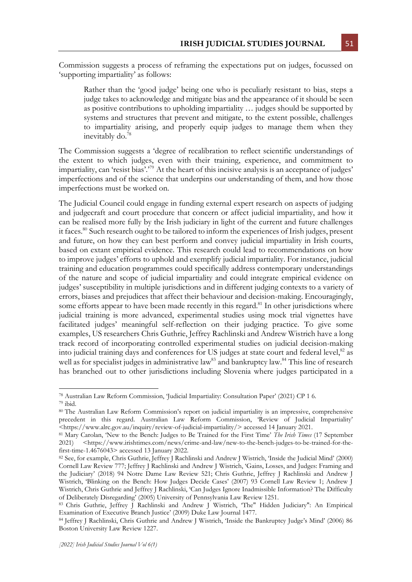Commission suggests a process of reframing the expectations put on judges, focussed on 'supporting impartiality' as follows:

Rather than the 'good judge' being one who is peculiarly resistant to bias, steps a judge takes to acknowledge and mitigate bias and the appearance of it should be seen as positive contributions to upholding impartiality … judges should be supported by systems and structures that prevent and mitigate, to the extent possible, challenges to impartiality arising, and properly equip judges to manage them when they inevitably do.<sup>78</sup>

The Commission suggests a 'degree of recalibration to reflect scientific understandings of the extent to which judges, even with their training, experience, and commitment to impartiality, can 'resist bias'.<sup>79</sup> At the heart of this incisive analysis is an acceptance of judges' imperfections and of the science that underpins our understanding of them, and how those imperfections must be worked on.

The Judicial Council could engage in funding external expert research on aspects of judging and judgecraft and court procedure that concern or affect judicial impartiality, and how it can be realised more fully by the Irish judiciary in light of the current and future challenges it faces.<sup>80</sup> Such research ought to be tailored to inform the experiences of Irish judges, present and future, on how they can best perform and convey judicial impartiality in Irish courts, based on extant empirical evidence. This research could lead to recommendations on how to improve judges' efforts to uphold and exemplify judicial impartiality. For instance, judicial training and education programmes could specifically address contemporary understandings of the nature and scope of judicial impartiality and could integrate empirical evidence on judges' susceptibility in multiple jurisdictions and in different judging contexts to a variety of errors, biases and prejudices that affect their behaviour and decision-making. Encouragingly, some efforts appear to have been made recently in this regard.<sup>81</sup> In other jurisdictions where judicial training is more advanced, experimental studies using mock trial vignettes have facilitated judges' meaningful self-reflection on their judging practice. To give some examples, US researchers Chris Guthrie, Jeffrey Rachlinski and Andrew Wistrich have a long track record of incorporating controlled experimental studies on judicial decision-making into judicial training days and conferences for US judges at state court and federal level,<sup>82</sup> as well as for specialist judges in administrative law<sup>83</sup> and bankruptcy law.<sup>84</sup> This line of research has branched out to other jurisdictions including Slovenia where judges participated in a

<sup>78</sup> Australian Law Reform Commission, 'Judicial Impartiality: Consultation Paper' (2021) CP 1 6. <sup>79</sup> ibid.

<sup>80</sup> The Australian Law Reform Commission's report on judicial impartiality is an impressive, comprehensive precedent in this regard. Australian Law Reform Commission, 'Review of Judicial Impartiality' <https://www.alrc.gov.au/inquiry/review-of-judicial-impartiality/> accessed 14 January 2021.

<sup>81</sup> Mary Carolan, 'New to the Bench: Judges to Be Trained for the First Time' *The Irish Times* (17 September 2021) <https://www.irishtimes.com/news/crime-and-law/new-to-the-bench-judges-to-be-trained-for-thefirst-time-1.4676043> accessed 13 January 2022.

<sup>82</sup> See, for example, Chris Guthrie, Jeffrey J Rachlinski and Andrew J Wistrich, 'Inside the Judicial Mind' (2000) Cornell Law Review 777; Jeffrey J Rachlinski and Andrew J Wistrich, 'Gains, Losses, and Judges: Framing and the Judiciary' (2018) 94 Notre Dame Law Review 521; Chris Guthrie, Jeffrey J Rachlinski and Andrew J Wistrich, 'Blinking on the Bench: How Judges Decide Cases' (2007) 93 Cornell Law Review 1; Andrew J Wistrich, Chris Guthrie and Jeffrey J Rachlinski, 'Can Judges Ignore Inadmissible Information? The Difficulty of Deliberately Disregarding' (2005) University of Pennsylvania Law Review 1251.

<sup>83</sup> Chris Guthrie, Jeffrey J Rachlinski and Andrew J Wistrich, 'The" Hidden Judiciary": An Empirical Examination of Executive Branch Justice' (2009) Duke Law Journal 1477.

<sup>84</sup> Jeffrey J Rachlinski, Chris Guthrie and Andrew J Wistrich, 'Inside the Bankruptcy Judge's Mind' (2006) 86 Boston University Law Review 1227.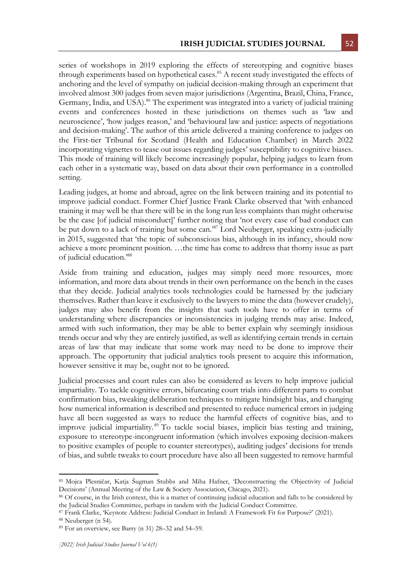series of workshops in 2019 exploring the effects of stereotyping and cognitive biases through experiments based on hypothetical cases.<sup>85</sup> A recent study investigated the effects of anchoring and the level of sympathy on judicial decision-making through an experiment that involved almost 300 judges from seven major jurisdictions (Argentina, Brazil, China, France, Germany, India, and USA).<sup>86</sup> The experiment was integrated into a variety of judicial training events and conferences hosted in these jurisdictions on themes such as 'law and neuroscience', 'how judges reason,' and 'behavioural law and justice: aspects of negotiations and decision-making'. The author of this article delivered a training conference to judges on the First-tier Tribunal for Scotland (Health and Education Chamber) in March 2022 incorporating vignettes to tease out issues regarding judges' susceptibility to cognitive biases. This mode of training will likely become increasingly popular, helping judges to learn from each other in a systematic way, based on data about their own performance in a controlled setting.

Leading judges, at home and abroad, agree on the link between training and its potential to improve judicial conduct. Former Chief Justice Frank Clarke observed that 'with enhanced training it may well be that there will be in the long run less complaints than might otherwise be the case [of judicial misconduct]' further noting that 'not every case of bad conduct can be put down to a lack of training but some can.<sup>87</sup> Lord Neuberger, speaking extra-judicially in 2015, suggested that 'the topic of subconscious bias, although in its infancy, should now achieve a more prominent position. …the time has come to address that thorny issue as part of judicial education.'<sup>88</sup>

Aside from training and education, judges may simply need more resources, more information, and more data about trends in their own performance on the bench in the cases that they decide. Judicial analytics tools technologies could be harnessed by the judiciary themselves. Rather than leave it exclusively to the lawyers to mine the data (however crudely), judges may also benefit from the insights that such tools have to offer in terms of understanding where discrepancies or inconsistencies in judging trends may arise. Indeed, armed with such information, they may be able to better explain why seemingly insidious trends occur and why they are entirely justified, as well as identifying certain trends in certain areas of law that may indicate that some work may need to be done to improve their approach. The opportunity that judicial analytics tools present to acquire this information, however sensitive it may be, ought not to be ignored.

Judicial processes and court rules can also be considered as levers to help improve judicial impartiality. To tackle cognitive errors, bifurcating court trials into different parts to combat confirmation bias, tweaking deliberation techniques to mitigate hindsight bias, and changing how numerical information is described and presented to reduce numerical errors in judging have all been suggested as ways to reduce the harmful effects of cognitive bias, and to improve judicial impartiality. <sup>89</sup> To tackle social biases, implicit bias testing and training, exposure to stereotype-incongruent information (which involves exposing decision-makers to positive examples of people to counter stereotypes), auditing judges' decisions for trends of bias, and subtle tweaks to court procedure have also all been suggested to remove harmful

<sup>85</sup> Mojca Plesničar, Katja Šugman Stubbs and Miha Hafner, 'Deconstructing the Objectivity of Judicial Decisions' (Annual Meeting of the Law & Society Association, Chicago, 2021).

<sup>86</sup> Of course, in the Irish context, this is a matter of continuing judicial education and falls to be considered by the Judicial Studies Committee, perhaps in tandem with the Judicial Conduct Committee.

<sup>87</sup> Frank Clarke, 'Keynote Address: Judicial Conduct in Ireland: A Framework Fit for Purpose?' (2021).

<sup>88</sup> Neuberger (n 54).

<sup>89</sup> For an overview, see Barry (n 31) 28–32 and 54–59.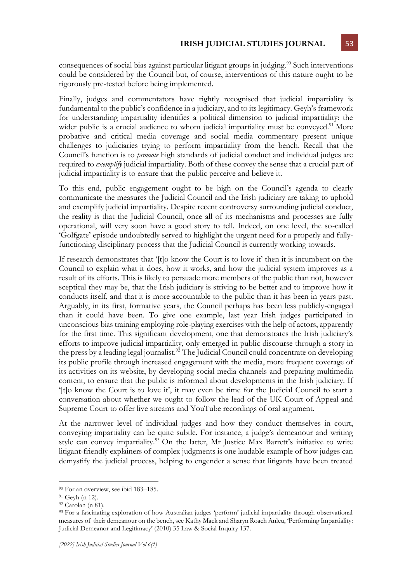consequences of social bias against particular litigant groups in judging.<sup>90</sup> Such interventions could be considered by the Council but, of course, interventions of this nature ought to be rigorously pre-tested before being implemented.

Finally, judges and commentators have rightly recognised that judicial impartiality is fundamental to the public's confidence in a judiciary, and to its legitimacy. Geyh's framework for understanding impartiality identifies a political dimension to judicial impartiality: the wider public is a crucial audience to whom judicial impartiality must be conveyed.<sup>91</sup> More probative and critical media coverage and social media commentary present unique challenges to judiciaries trying to perform impartiality from the bench. Recall that the Council's function is to *promote* high standards of judicial conduct and individual judges are required to *exemplify* judicial impartiality. Both of these convey the sense that a crucial part of judicial impartiality is to ensure that the public perceive and believe it.

To this end, public engagement ought to be high on the Council's agenda to clearly communicate the measures the Judicial Council and the Irish judiciary are taking to uphold and exemplify judicial impartiality. Despite recent controversy surrounding judicial conduct, the reality is that the Judicial Council, once all of its mechanisms and processes are fully operational, will very soon have a good story to tell. Indeed, on one level, the so-called 'Golfgate' episode undoubtedly served to highlight the urgent need for a properly and fullyfunctioning disciplinary process that the Judicial Council is currently working towards.

If research demonstrates that '[t]o know the Court is to love it' then it is incumbent on the Council to explain what it does, how it works, and how the judicial system improves as a result of its efforts. This is likely to persuade more members of the public than not, however sceptical they may be, that the Irish judiciary is striving to be better and to improve how it conducts itself, and that it is more accountable to the public than it has been in years past. Arguably, in its first, formative years, the Council perhaps has been less publicly-engaged than it could have been. To give one example, last year Irish judges participated in unconscious bias training employing role-playing exercises with the help of actors, apparently for the first time. This significant development, one that demonstrates the Irish judiciary's efforts to improve judicial impartiality, only emerged in public discourse through a story in the press by a leading legal journalist.<sup>92</sup> The Judicial Council could concentrate on developing its public profile through increased engagement with the media, more frequent coverage of its activities on its website, by developing social media channels and preparing multimedia content, to ensure that the public is informed about developments in the Irish judiciary. If '[t]o know the Court is to love it', it may even be time for the Judicial Council to start a conversation about whether we ought to follow the lead of the UK Court of Appeal and Supreme Court to offer live streams and YouTube recordings of oral argument.

At the narrower level of individual judges and how they conduct themselves in court, conveying impartiality can be quite subtle. For instance, a judge's demeanour and writing style can convey impartiality.<sup>93</sup> On the latter, Mr Justice Max Barrett's initiative to write litigant-friendly explainers of complex judgments is one laudable example of how judges can demystify the judicial process, helping to engender a sense that litigants have been treated

<sup>90</sup> For an overview, see ibid 183–185.

<sup>91</sup> Geyh (n 12).

<sup>92</sup> Carolan (n 81).

<sup>93</sup> For a fascinating exploration of how Australian judges 'perform' judicial impartiality through observational measures of their demeanour on the bench, see Kathy Mack and Sharyn Roach Anleu, 'Performing Impartiality: Judicial Demeanor and Legitimacy' (2010) 35 Law & Social Inquiry 137.